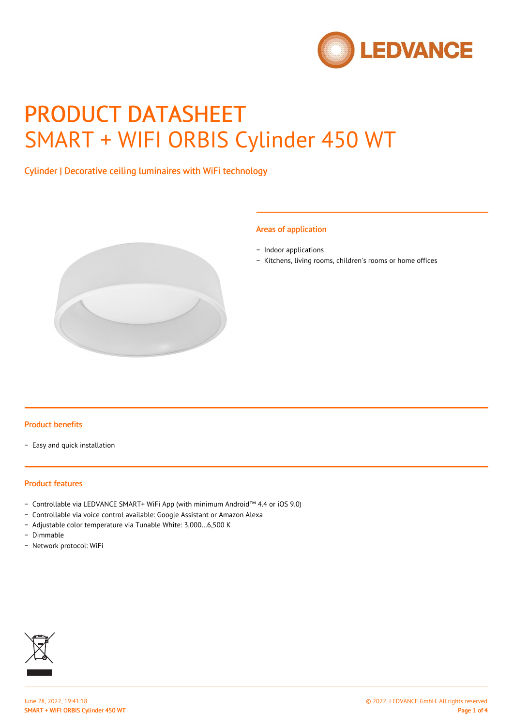

# PRODUCT DATASHEET SMART + WIFI ORBIS Cylinder 450 WT

# Cylinder | Decorative ceiling luminaires with WiFi technology



#### Areas of application

− Indoor applications

− Kitchens, living rooms, children's rooms or home offices

#### Product benefits

− Easy and quick installation

#### Product features

- − Controllable via LEDVANCE SMART+ WiFi App (with minimum Android™ 4.4 or iOS 9.0)
- − Controllable via voice control available: Google Assistant or Amazon Alexa
- − Adjustable color temperature via Tunable White: 3,000…6,500 K
- − Dimmable
- − Network protocol: WiFi

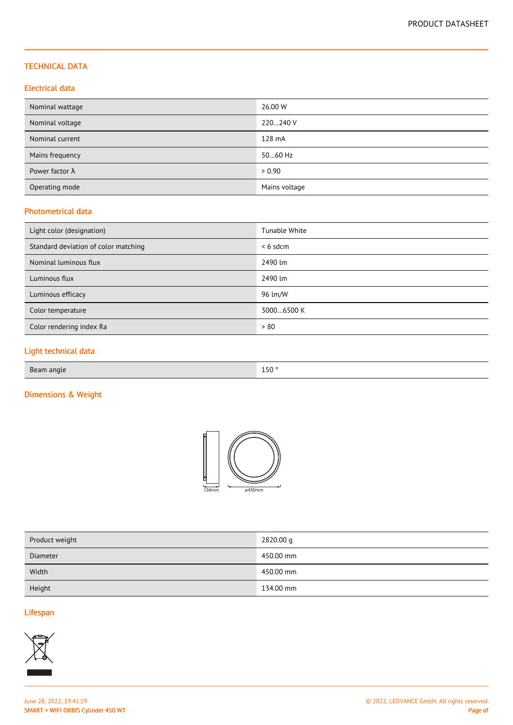## TECHNICAL DATA

## Electrical data

| Nominal wattage        | 26.00 W       |
|------------------------|---------------|
| Nominal voltage        | 220240 V      |
| Nominal current        | 128 mA        |
| Mains frequency        | 5060 Hz       |
| Power factor $\lambda$ | > 0.90        |
| Operating mode         | Mains voltage |

## Photometrical data

| Light color (designation)            | Tunable White |
|--------------------------------------|---------------|
| Standard deviation of color matching | $< 6$ sdcm    |
| Nominal luminous flux                | 2490 lm       |
| Luminous flux                        | 2490 lm       |
| Luminous efficacy                    | 96 lm/W       |
| Color temperature                    | 30006500 K    |
| Color rendering index Ra             | > 80          |

# Light technical data

| Beam angle | $\cdot$ $\sim$ $\sim$<br>15U<br>$ -$ |
|------------|--------------------------------------|
|            |                                      |

# Dimensions & Weight



| Product weight | 2820.00 g |
|----------------|-----------|
| Diameter       | 450.00 mm |
| Width          | 450.00 mm |
| Height         | 134.00 mm |

## Lifespan

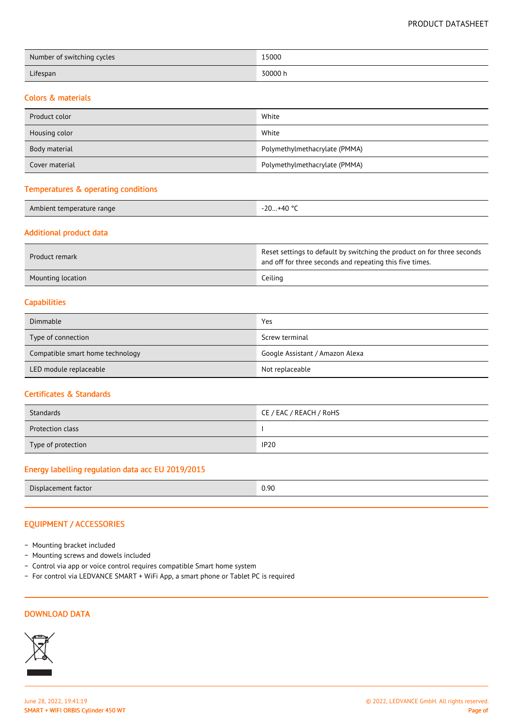PRODUCT DATASHEET

| Number of switching cycles | 15000   |
|----------------------------|---------|
| Lifespan                   | 30000 h |

#### Colors & materials

| Product color  | White                         |
|----------------|-------------------------------|
| Housing color  | White                         |
| Body material  | Polymethylmethacrylate (PMMA) |
| Cover material | Polymethylmethacrylate (PMMA) |

#### Temperatures & operating conditions

| 100C |
|------|
| ⊤∪   |

## Additional product data

| Product remark    | Reset settings to default by switching the product on for three seconds<br>and off for three seconds and repeating this five times. |
|-------------------|-------------------------------------------------------------------------------------------------------------------------------------|
| Mounting location | Ceiling                                                                                                                             |

#### **Capabilities**

| Dimmable                         | Yes                             |
|----------------------------------|---------------------------------|
| Type of connection               | Screw terminal                  |
| Compatible smart home technology | Google Assistant / Amazon Alexa |
| LED module replaceable           | Not replaceable                 |

#### Certificates & Standards

| Standards          | CE / EAC / REACH / RoHS |
|--------------------|-------------------------|
| Protection class   |                         |
| Type of protection | <b>IP20</b>             |

# Energy labelling regulation data acc EU 2019/2015

| Dis<br>тастоі<br>m<br>ane. | n ar<br><u>v. v</u> |
|----------------------------|---------------------|
|                            |                     |

## EQUIPMENT / ACCESSORIES

- − Mounting bracket included
- − Mounting screws and dowels included
- − Control via app or voice control requires compatible Smart home system
- − For control via LEDVANCE SMART + WiFi App, a smart phone or Tablet PC is required

#### DOWNLOAD DATA